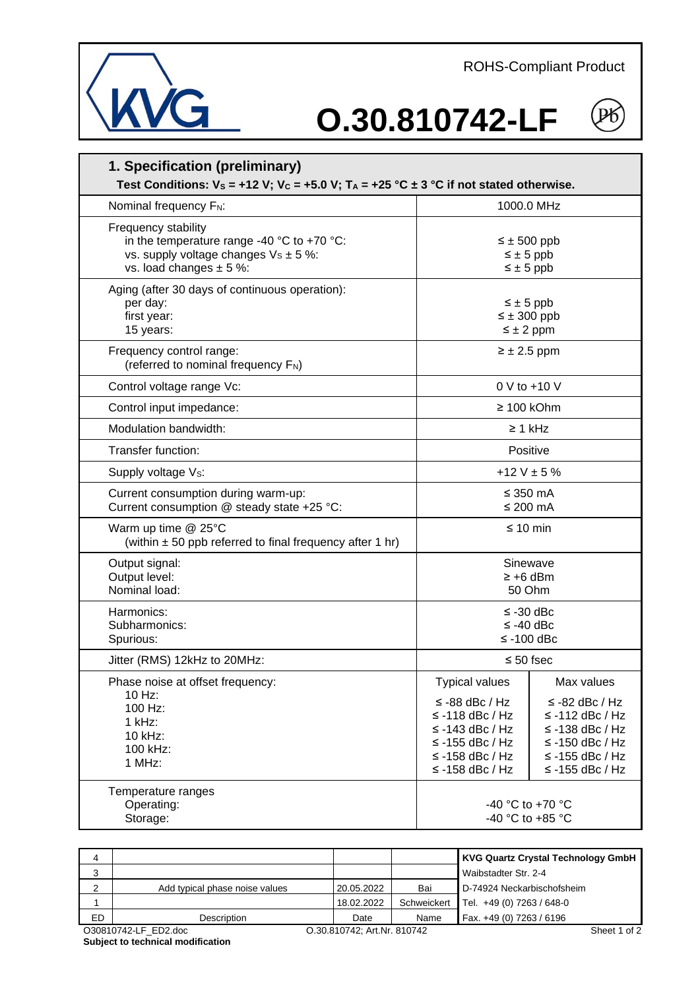ROHS-Compliant Product



## **O.30.810742-LF**



| 1. Specification (preliminary)<br>Test Conditions: $V_s = +12 V$ ; $V_c = +5.0 V$ ; $T_A = +25 °C \pm 3 °C$ if not stated otherwise.                              |                                                                                                                                             |                                                                                                                                            |  |  |  |  |
|-------------------------------------------------------------------------------------------------------------------------------------------------------------------|---------------------------------------------------------------------------------------------------------------------------------------------|--------------------------------------------------------------------------------------------------------------------------------------------|--|--|--|--|
| Nominal frequency F <sub>N</sub> :                                                                                                                                | 1000.0 MHz                                                                                                                                  |                                                                                                                                            |  |  |  |  |
| Frequency stability<br>in the temperature range -40 $^{\circ}$ C to +70 $^{\circ}$ C:<br>vs. supply voltage changes $V_s \pm 5$ %:<br>vs. load changes $\pm$ 5 %: | $\leq \pm 500$ ppb<br>$\leq \pm 5$ ppb<br>$\leq \pm 5$ ppb                                                                                  |                                                                                                                                            |  |  |  |  |
| Aging (after 30 days of continuous operation):<br>per day:<br>first year:<br>15 years:                                                                            | $\leq \pm 5$ ppb<br>$\leq \pm 300$ ppb<br>$\leq \pm 2$ ppm                                                                                  |                                                                                                                                            |  |  |  |  |
| Frequency control range:<br>(referred to nominal frequency F <sub>N</sub> )                                                                                       | $\geq \pm 2.5$ ppm                                                                                                                          |                                                                                                                                            |  |  |  |  |
| Control voltage range Vc:                                                                                                                                         | 0 V to +10 V                                                                                                                                |                                                                                                                                            |  |  |  |  |
| Control input impedance:                                                                                                                                          | $\geq 100$ kOhm                                                                                                                             |                                                                                                                                            |  |  |  |  |
| Modulation bandwidth:                                                                                                                                             | $\geq 1$ kHz                                                                                                                                |                                                                                                                                            |  |  |  |  |
| Transfer function:                                                                                                                                                | Positive                                                                                                                                    |                                                                                                                                            |  |  |  |  |
| Supply voltage V <sub>s</sub> :                                                                                                                                   | +12 V $\pm$ 5 %                                                                                                                             |                                                                                                                                            |  |  |  |  |
| Current consumption during warm-up:<br>Current consumption @ steady state +25 °C:                                                                                 | ≤ 350 mA<br>≤ 200 $mA$                                                                                                                      |                                                                                                                                            |  |  |  |  |
| Warm up time @ 25°C<br>(within $\pm$ 50 ppb referred to final frequency after 1 hr)                                                                               | $\leq 10$ min                                                                                                                               |                                                                                                                                            |  |  |  |  |
| Output signal:<br>Output level:<br>Nominal load:                                                                                                                  | Sinewave<br>$\geq +6$ dBm<br>50 Ohm                                                                                                         |                                                                                                                                            |  |  |  |  |
| Harmonics:<br>Subharmonics:<br>Spurious:                                                                                                                          | ≤ -30 dBc<br>$\le$ -40 dBc<br>$≤ -100$ dBc                                                                                                  |                                                                                                                                            |  |  |  |  |
| Jitter (RMS) 12kHz to 20MHz:                                                                                                                                      | $\leq 50$ fsec                                                                                                                              |                                                                                                                                            |  |  |  |  |
| Phase noise at offset frequency:<br>$10$ Hz:<br>100 Hz:<br>1 kHz:<br>10 kHz:<br>100 kHz:<br>1 MHz:                                                                | Typical values<br>≤ -88 dBc / Hz<br>$\le$ -118 dBc / Hz<br>$\le$ -143 dBc / Hz<br>$\le$ -155 dBc / Hz<br>≤ -158 dBc / Hz<br>≤ -158 dBc / Hz | Max values<br>$\le$ -82 dBc / Hz<br>$\le$ -112 dBc / Hz<br>≤-138 dBc / Hz<br>$\le$ -150 dBc / Hz<br>≤ -155 dBc / Hz<br>$\le$ -155 dBc / Hz |  |  |  |  |
| Temperature ranges<br>Operating:<br>Storage:                                                                                                                      | -40 °C to +70 °C<br>-40 °C to +85 °C                                                                                                        |                                                                                                                                            |  |  |  |  |

| 4  |                                |                             |             | <b>KVG Quartz Crystal Technology GmbH</b> |
|----|--------------------------------|-----------------------------|-------------|-------------------------------------------|
| 3  |                                |                             |             | Waibstadter Str. 2-4                      |
| ◠  | Add typical phase noise values | 20.05.2022                  | Bai         | D-74924 Neckarbischofsheim                |
|    |                                | 18.02.2022                  | Schweickert | Tel. +49 (0) 7263 / 648-0                 |
| ED | Description                    | Date                        | Name        | Fax. +49 (0) 7263 / 6196                  |
|    | O30810742-LF ED2.doc           | O.30.810742; Art.Nr. 810742 |             | Sheet 1 of 2                              |